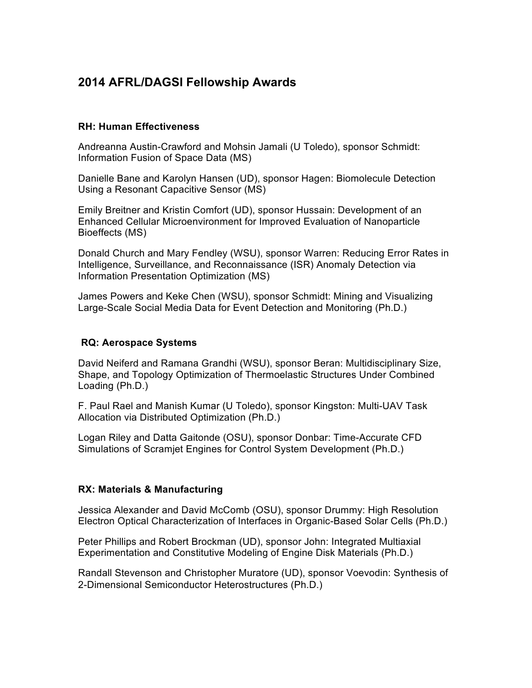# **2014 AFRL/DAGSI Fellowship Awards**

## **RH: Human Effectiveness**

Andreanna Austin-Crawford and Mohsin Jamali (U Toledo), sponsor Schmidt: Information Fusion of Space Data (MS)

Danielle Bane and Karolyn Hansen (UD), sponsor Hagen: Biomolecule Detection Using a Resonant Capacitive Sensor (MS)

Emily Breitner and Kristin Comfort (UD), sponsor Hussain: Development of an Enhanced Cellular Microenvironment for Improved Evaluation of Nanoparticle Bioeffects (MS)

Donald Church and Mary Fendley (WSU), sponsor Warren: Reducing Error Rates in Intelligence, Surveillance, and Reconnaissance (ISR) Anomaly Detection via Information Presentation Optimization (MS)

James Powers and Keke Chen (WSU), sponsor Schmidt: Mining and Visualizing Large-Scale Social Media Data for Event Detection and Monitoring (Ph.D.)

## **RQ: Aerospace Systems**

David Neiferd and Ramana Grandhi (WSU), sponsor Beran: Multidisciplinary Size, Shape, and Topology Optimization of Thermoelastic Structures Under Combined Loading (Ph.D.)

F. Paul Rael and Manish Kumar (U Toledo), sponsor Kingston: Multi-UAV Task Allocation via Distributed Optimization (Ph.D.)

Logan Riley and Datta Gaitonde (OSU), sponsor Donbar: Time-Accurate CFD Simulations of Scramjet Engines for Control System Development (Ph.D.)

#### **RX: Materials & Manufacturing**

Jessica Alexander and David McComb (OSU), sponsor Drummy: High Resolution Electron Optical Characterization of Interfaces in Organic-Based Solar Cells (Ph.D.)

Peter Phillips and Robert Brockman (UD), sponsor John: Integrated Multiaxial Experimentation and Constitutive Modeling of Engine Disk Materials (Ph.D.)

Randall Stevenson and Christopher Muratore (UD), sponsor Voevodin: Synthesis of 2-Dimensional Semiconductor Heterostructures (Ph.D.)